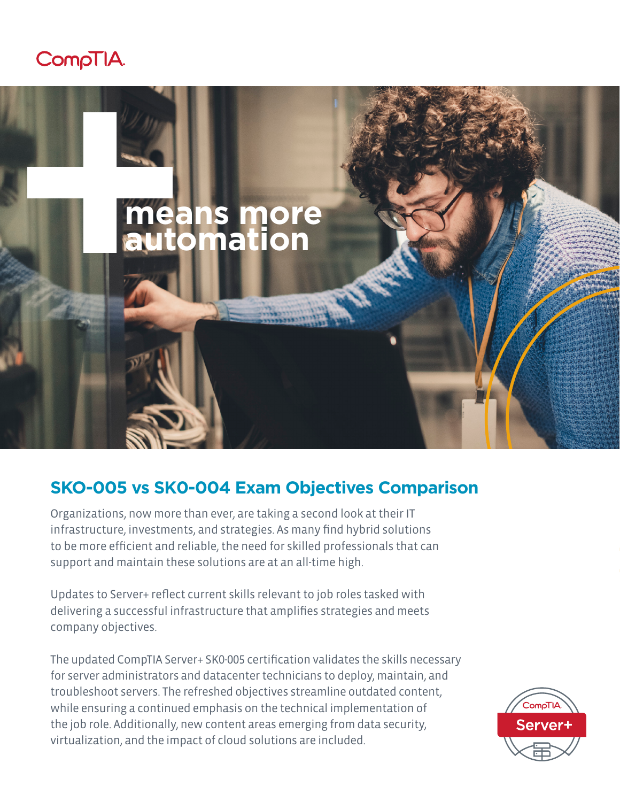



## **SKO-005 vs SK0-004 Exam Objectives Comparison**

Organizations, now more than ever, are taking a second look at their IT infrastructure, investments, and strategies. As many find hybrid solutions to be more efficient and reliable, the need for skilled professionals that can support and maintain these solutions are at an all-time high.

Updates to Server+ reflect current skills relevant to job roles tasked with delivering a successful infrastructure that amplifies strategies and meets company objectives.

The updated CompTIA Server+ SK0-005 certification validates the skills necessary for server administrators and datacenter technicians to deploy, maintain, and troubleshoot servers. The refreshed objectives streamline outdated content, while ensuring a continued emphasis on the technical implementation of the job role. Additionally, new content areas emerging from data security, virtualization, and the impact of cloud solutions are included.

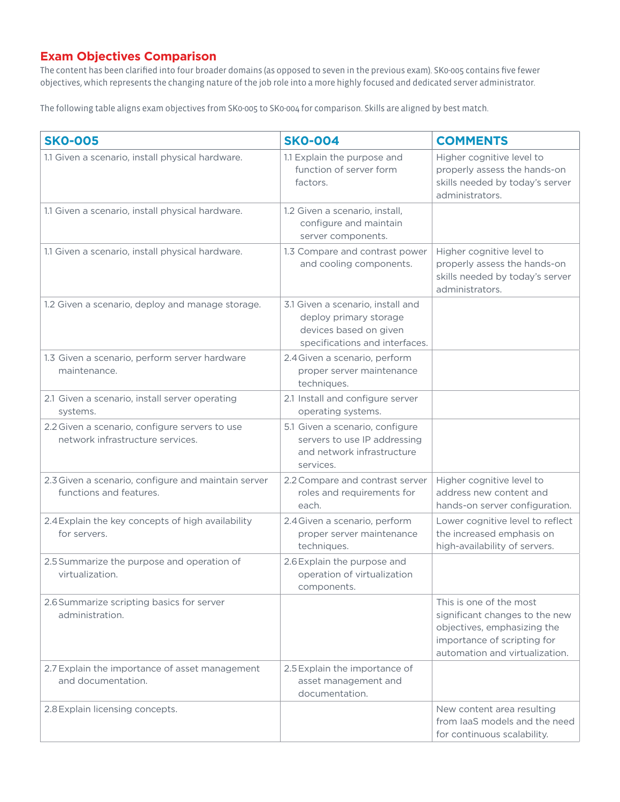## **Exam Objectives Comparison**

The content has been clarified into four broader domains (as opposed to seven in the previous exam). SK0-005 contains five fewer objectives, which represents the changing nature of the job role into a more highly focused and dedicated server administrator.

The following table aligns exam objectives from SK0-005 to SK0-004 for comparison. Skills are aligned by best match.

| <b>SKO-005</b>                                                                     | <b>SKO-004</b>                                                                                                          | <b>COMMENTS</b>                                                                                                                                           |
|------------------------------------------------------------------------------------|-------------------------------------------------------------------------------------------------------------------------|-----------------------------------------------------------------------------------------------------------------------------------------------------------|
| 1.1 Given a scenario, install physical hardware.                                   | 1.1 Explain the purpose and<br>function of server form<br>factors.                                                      | Higher cognitive level to<br>properly assess the hands-on<br>skills needed by today's server<br>administrators.                                           |
| 1.1 Given a scenario, install physical hardware.                                   | 1.2 Given a scenario, install,<br>configure and maintain<br>server components.                                          |                                                                                                                                                           |
| 1.1 Given a scenario, install physical hardware.                                   | 1.3 Compare and contrast power<br>and cooling components.                                                               | Higher cognitive level to<br>properly assess the hands-on<br>skills needed by today's server<br>administrators.                                           |
| 1.2 Given a scenario, deploy and manage storage.                                   | 3.1 Given a scenario, install and<br>deploy primary storage<br>devices based on given<br>specifications and interfaces. |                                                                                                                                                           |
| 1.3 Given a scenario, perform server hardware<br>maintenance.                      | 2.4 Given a scenario, perform<br>proper server maintenance<br>techniques.                                               |                                                                                                                                                           |
| 2.1 Given a scenario, install server operating<br>systems.                         | 2.1 Install and configure server<br>operating systems.                                                                  |                                                                                                                                                           |
| 2.2 Given a scenario, configure servers to use<br>network infrastructure services. | 5.1 Given a scenario, configure<br>servers to use IP addressing<br>and network infrastructure<br>services.              |                                                                                                                                                           |
| 2.3 Given a scenario, configure and maintain server<br>functions and features.     | 2.2 Compare and contrast server<br>roles and requirements for<br>each.                                                  | Higher cognitive level to<br>address new content and<br>hands-on server configuration.                                                                    |
| 2.4 Explain the key concepts of high availability<br>for servers.                  | 2.4 Given a scenario, perform<br>proper server maintenance<br>techniques.                                               | Lower cognitive level to reflect<br>the increased emphasis on<br>high-availability of servers.                                                            |
| 2.5 Summarize the purpose and operation of<br>virtualization.                      | 2.6 Explain the purpose and<br>operation of virtualization<br>components.                                               |                                                                                                                                                           |
| 2.6 Summarize scripting basics for server<br>administration.                       |                                                                                                                         | This is one of the most<br>significant changes to the new<br>objectives, emphasizing the<br>importance of scripting for<br>automation and virtualization. |
| 2.7 Explain the importance of asset management<br>and documentation.               | 2.5 Explain the importance of<br>asset management and<br>documentation.                                                 |                                                                                                                                                           |
| 2.8 Explain licensing concepts.                                                    |                                                                                                                         | New content area resulting<br>from laaS models and the need<br>for continuous scalability.                                                                |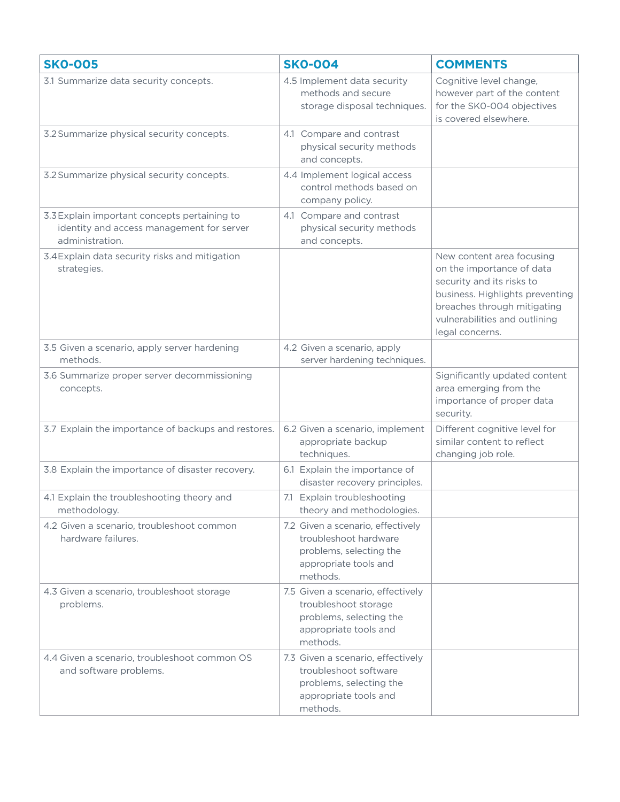| <b>SKO-005</b>                                                                                               | <b>SKO-004</b>                                                                                                             | <b>COMMENTS</b>                                                                                                                                                                                           |
|--------------------------------------------------------------------------------------------------------------|----------------------------------------------------------------------------------------------------------------------------|-----------------------------------------------------------------------------------------------------------------------------------------------------------------------------------------------------------|
| 3.1 Summarize data security concepts.                                                                        | 4.5 Implement data security<br>methods and secure<br>storage disposal techniques.                                          | Cognitive level change,<br>however part of the content<br>for the SK0-004 objectives<br>is covered elsewhere.                                                                                             |
| 3.2 Summarize physical security concepts.                                                                    | 4.1 Compare and contrast<br>physical security methods<br>and concepts.                                                     |                                                                                                                                                                                                           |
| 3.2 Summarize physical security concepts.                                                                    | 4.4 Implement logical access<br>control methods based on<br>company policy.                                                |                                                                                                                                                                                                           |
| 3.3 Explain important concepts pertaining to<br>identity and access management for server<br>administration. | 4.1 Compare and contrast<br>physical security methods<br>and concepts.                                                     |                                                                                                                                                                                                           |
| 3.4 Explain data security risks and mitigation<br>strategies.                                                |                                                                                                                            | New content area focusing<br>on the importance of data<br>security and its risks to<br>business. Highlights preventing<br>breaches through mitigating<br>vulnerabilities and outlining<br>legal concerns. |
| 3.5 Given a scenario, apply server hardening<br>methods.                                                     | 4.2 Given a scenario, apply<br>server hardening techniques.                                                                |                                                                                                                                                                                                           |
| 3.6 Summarize proper server decommissioning<br>concepts.                                                     |                                                                                                                            | Significantly updated content<br>area emerging from the<br>importance of proper data<br>security.                                                                                                         |
| 3.7 Explain the importance of backups and restores.                                                          | 6.2 Given a scenario, implement<br>appropriate backup<br>techniques.                                                       | Different cognitive level for<br>similar content to reflect<br>changing job role.                                                                                                                         |
| 3.8 Explain the importance of disaster recovery.                                                             | 6.1 Explain the importance of<br>disaster recovery principles.                                                             |                                                                                                                                                                                                           |
| 4.1 Explain the troubleshooting theory and<br>methodology.                                                   | 7.1 Explain troubleshooting<br>theory and methodologies.                                                                   |                                                                                                                                                                                                           |
| 4.2 Given a scenario, troubleshoot common<br>hardware failures.                                              | 7.2 Given a scenario, effectively<br>troubleshoot hardware<br>problems, selecting the<br>appropriate tools and<br>methods. |                                                                                                                                                                                                           |
| 4.3 Given a scenario, troubleshoot storage<br>problems.                                                      | 7.5 Given a scenario, effectively<br>troubleshoot storage<br>problems, selecting the<br>appropriate tools and<br>methods.  |                                                                                                                                                                                                           |
| 4.4 Given a scenario, troubleshoot common OS<br>and software problems.                                       | 7.3 Given a scenario, effectively<br>troubleshoot software<br>problems, selecting the<br>appropriate tools and<br>methods. |                                                                                                                                                                                                           |